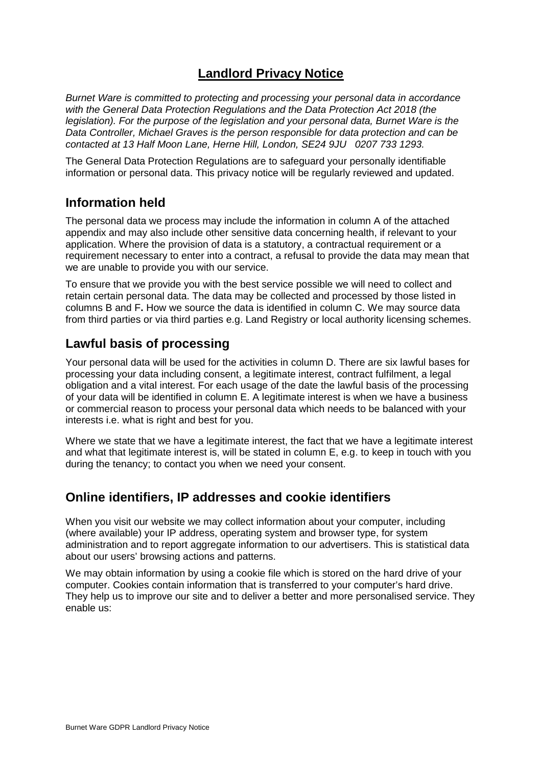# **Landlord Privacy Notice**

*Burnet Ware is committed to protecting and processing your personal data in accordance with the General Data Protection Regulations and the Data Protection Act 2018 (the legislation). For the purpose of the legislation and your personal data, Burnet Ware is the Data Controller, Michael Graves is the person responsible for data protection and can be contacted at 13 Half Moon Lane, Herne Hill, London, SE24 9JU 0207 733 1293.* 

The General Data Protection Regulations are to safeguard your personally identifiable information or personal data. This privacy notice will be regularly reviewed and updated.

#### **Information held**

The personal data we process may include the information in column A of the attached appendix and may also include other sensitive data concerning health, if relevant to your application. Where the provision of data is a statutory, a contractual requirement or a requirement necessary to enter into a contract, a refusal to provide the data may mean that we are unable to provide you with our service.

To ensure that we provide you with the best service possible we will need to collect and retain certain personal data. The data may be collected and processed by those listed in columns B and F**.** How we source the data is identified in column C. We may source data from third parties or via third parties e.g. Land Registry or local authority licensing schemes.

### **Lawful basis of processing**

Your personal data will be used for the activities in column D. There are six lawful bases for processing your data including consent, a legitimate interest, contract fulfilment, a legal obligation and a vital interest. For each usage of the date the lawful basis of the processing of your data will be identified in column E. A legitimate interest is when we have a business or commercial reason to process your personal data which needs to be balanced with your interests i.e. what is right and best for you.

Where we state that we have a legitimate interest, the fact that we have a legitimate interest and what that legitimate interest is, will be stated in column E, e.g. to keep in touch with you during the tenancy; to contact you when we need your consent.

### **Online identifiers, IP addresses and cookie identifiers**

When you visit our website we may collect information about your computer, including (where available) your IP address, operating system and browser type, for system administration and to report aggregate information to our advertisers. This is statistical data about our users' browsing actions and patterns.

We may obtain information by using a cookie file which is stored on the hard drive of your computer. Cookies contain information that is transferred to your computer's hard drive. They help us to improve our site and to deliver a better and more personalised service. They enable us: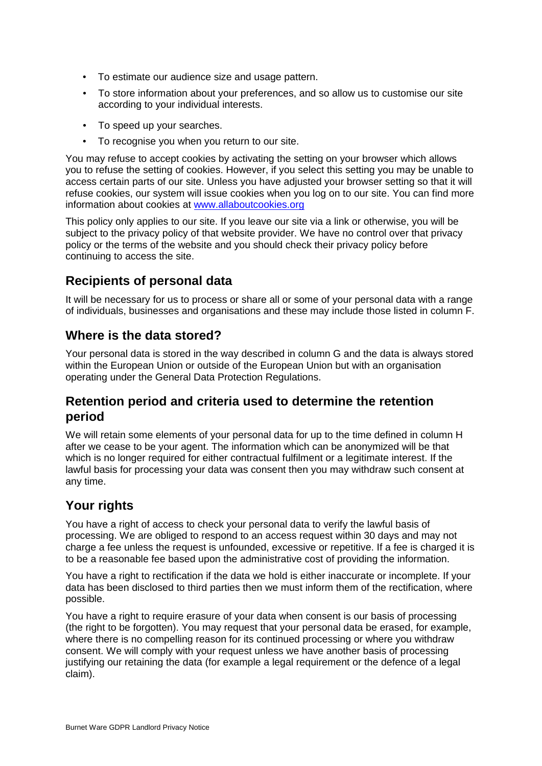- To estimate our audience size and usage pattern.
- To store information about your preferences, and so allow us to customise our site according to your individual interests.
- To speed up your searches.
- To recognise you when you return to our site.

You may refuse to accept cookies by activating the setting on your browser which allows you to refuse the setting of cookies. However, if you select this setting you may be unable to access certain parts of our site. Unless you have adjusted your browser setting so that it will refuse cookies, our system will issue cookies when you log on to our site. You can find more information about cookies at www.allaboutcookies.org

This policy only applies to our site. If you leave our site via a link or otherwise, you will be subject to the privacy policy of that website provider. We have no control over that privacy policy or the terms of the website and you should check their privacy policy before continuing to access the site.

# **Recipients of personal data**

It will be necessary for us to process or share all or some of your personal data with a range of individuals, businesses and organisations and these may include those listed in column F.

#### **Where is the data stored?**

Your personal data is stored in the way described in column G and the data is always stored within the European Union or outside of the European Union but with an organisation operating under the General Data Protection Regulations.

### **Retention period and criteria used to determine the retention period**

We will retain some elements of your personal data for up to the time defined in column H after we cease to be your agent. The information which can be anonymized will be that which is no longer required for either contractual fulfilment or a legitimate interest. If the lawful basis for processing your data was consent then you may withdraw such consent at any time.

# **Your rights**

You have a right of access to check your personal data to verify the lawful basis of processing. We are obliged to respond to an access request within 30 days and may not charge a fee unless the request is unfounded, excessive or repetitive. If a fee is charged it is to be a reasonable fee based upon the administrative cost of providing the information.

You have a right to rectification if the data we hold is either inaccurate or incomplete. If your data has been disclosed to third parties then we must inform them of the rectification, where possible.

You have a right to require erasure of your data when consent is our basis of processing (the right to be forgotten). You may request that your personal data be erased, for example, where there is no compelling reason for its continued processing or where you withdraw consent. We will comply with your request unless we have another basis of processing justifying our retaining the data (for example a legal requirement or the defence of a legal claim).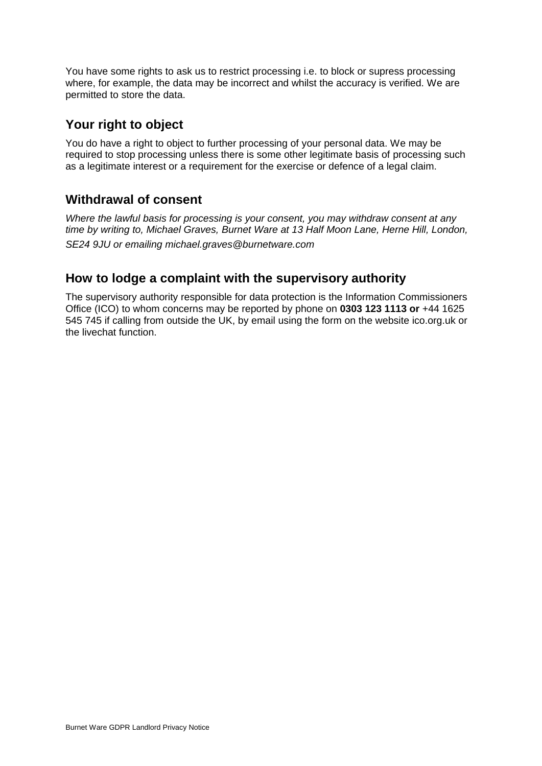You have some rights to ask us to restrict processing i.e. to block or supress processing where, for example, the data may be incorrect and whilst the accuracy is verified. We are permitted to store the data.

#### **Your right to object**

You do have a right to object to further processing of your personal data. We may be required to stop processing unless there is some other legitimate basis of processing such as a legitimate interest or a requirement for the exercise or defence of a legal claim.

### **Withdrawal of consent**

*Where the lawful basis for processing is your consent, you may withdraw consent at any time by writing to, Michael Graves, Burnet Ware at 13 Half Moon Lane, Herne Hill, London, SE24 9JU or emailing michael.graves@burnetware.com*

#### **How to lodge a complaint with the supervisory authority**

The supervisory authority responsible for data protection is the Information Commissioners Office (ICO) to whom concerns may be reported by phone on **0303 123 1113 or** +44 1625 545 745 if calling from outside the UK, by email using the form on the website ico.org.uk or the livechat function.